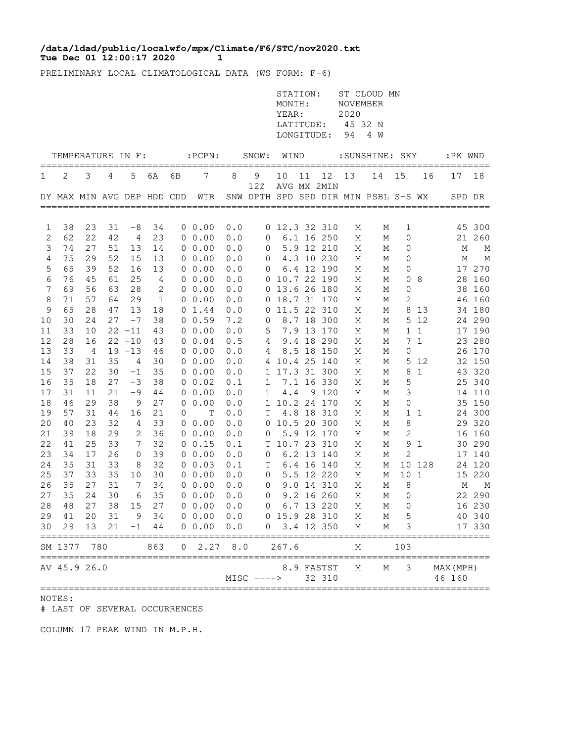## **Tue Dec 01 12:00:17 2020 1 /data/ldad/public/localwfo/mpx/Climate/F6/STC/nov2020.txt**

PRELIMINARY LOCAL CLIMATOLOGICAL DATA (WS FORM: F-6)

|          |                            |          |          |              |              |    |                                              |            |              | STATION:<br>MONTH:<br>YEAR:<br>LATITUDE:<br>LONGITUDE: |    |                          | <b>NOVEMBER</b><br>2020<br>94 | ST CLOUD MN<br>45 32 N<br>4 W        |             |              |                     |                  |
|----------|----------------------------|----------|----------|--------------|--------------|----|----------------------------------------------|------------|--------------|--------------------------------------------------------|----|--------------------------|-------------------------------|--------------------------------------|-------------|--------------|---------------------|------------------|
|          | TEMPERATURE IN F:          |          |          |              |              |    | $:$ PCPN $:$                                 |            | SNOW:        | WIND                                                   |    |                          |                               | :SUNSHINE: SKY                       |             |              | :PK WND             | =====            |
| 1        | 2                          | 3        | 4        | 5            | 6A           | 6В | 7                                            | 8          | 9            | 10                                                     | 11 | 12                       | 13                            | 14                                   | 15          | 16           | 17                  | 18               |
|          | DY MAX MIN AVG DEP HDD CDD |          |          |              |              |    | WTR<br>===================================== |            | 12Z          |                                                        |    | AVG MX 2MIN              |                               | SNW DPTH SPD SPD DIR MIN PSBL S-S WX |             |              | SPD DR              |                  |
| 1        | 38                         | 23       | 31       | $-8$         | 34           |    | $0\;\;0.00$                                  | 0.0        |              | 0 12.3 32 310                                          |    |                          | М                             | Μ                                    | 1           |              |                     | 45 300           |
| 2        | 62                         | 22       | 42       | 4            | 23           |    | $0\;\;0.00$                                  | 0.0        | 0            |                                                        |    | 6.1 16 250               | М                             | М                                    | 0           |              |                     | 21 260           |
| 3        | 74                         | 27       | 51       | 13           | 14           |    | $0\;\;0.00$                                  | 0.0        | 0            |                                                        |    | 5.9 12 210               | М                             | М                                    | 0           |              | М                   | M                |
| 4        | 75                         | 29       | 52       | 15           | 13           |    | $0\;\;0.00$                                  | 0.0        | 0            |                                                        |    | 4.3 10 230               | М                             | М                                    | 0           |              | М                   | M                |
| 5        | 65                         | 39       | 52       | 16           | 13           |    | 00.00                                        | 0.0        | 0            |                                                        |    | 6.4 12 190               | М                             | М                                    | 0           |              | 17                  | 270              |
| 6<br>7   | 76<br>69                   | 45<br>56 | 61<br>63 | 25<br>28     | 4<br>2       |    | 0, 0.00<br>0 0.00                            | 0.0        |              | 0 10.7 22 190<br>0 13.6 26 180                         |    |                          | М                             | М                                    | 0           | 8            | 28                  | 160              |
| 8        | 71                         | 57       | 64       | 29           | $\mathbf{1}$ |    | $0\;\;0.00$                                  | 0.0<br>0.0 | 0            | 18.7 31 170                                            |    |                          | М<br>М                        | Μ<br>М                               | 0<br>2      |              | 38<br>46            | 160<br>160       |
| 9        | 65                         | 28       | 47       | 13           | 18           |    | $0 \t1.44$                                   | 0.0        | 0            |                                                        |    | 11.5 22 310              | М                             | М                                    | 8           | 13           | 34                  | 180              |
| 10       | 30                         | 24       | 27       | $-7$         | 38           |    | 0 0.59                                       | 7.2        | 0            |                                                        |    | 8.7 18 300               | М                             | М                                    | 5           | 12           |                     | 24 290           |
| 11       | 33                         | 10       |          | $22 - 11$    | 43           |    | $0\;\;0.00$                                  | 0.0        | 5            |                                                        |    | 7.9 13 170               | Μ                             | Μ                                    | $\mathbf 1$ | $\mathbf{1}$ | 17                  | 190              |
| 12       | 28                         | 16       |          | $22 - 10$    | 43           |    | $0 \t 0.04$                                  | 0.5        | 4            |                                                        |    | 9.4 18 290               | М                             | М                                    | 7           | $\mathbf{1}$ | 23                  | 280              |
| 13       | 33                         | 4        |          | $19 - 13$    | 46           |    | 0 0.00                                       | 0.0        | 4            |                                                        |    | 8.5 18 150               | М                             | Μ                                    | 0           |              | 26                  | 170              |
| 14       | 38                         | 31       | 35       | 4            | 30           |    | $0\;\;0.00$                                  | 0.0        | 4            |                                                        |    | 10.4 25 140              | М                             | М                                    | 5           | 12           |                     | 32 150           |
| 15       | 37                         | 22       | 30       | $-1$         | 35           |    | $0\;\;0.00$                                  | 0.0        | 1            |                                                        |    | 17.3 31 300              | М                             | М                                    | 8           | $\mathbf 1$  | 43                  | 320              |
| 16<br>17 | 35<br>31                   | 18<br>11 | 27<br>21 | $-3$<br>$-9$ | 38<br>44     |    | $0\;\;0.02$<br>$0\;\;0.00$                   | 0.1<br>0.0 | 1<br>1       | 4.4                                                    |    | 7.1 16 330<br>9 1 2 0    | М<br>М                        | М<br>М                               | 5<br>3      |              |                     | 25 340<br>14 110 |
| 18       | 46                         | 29       | 38       | 9            | 27           | 0  | 0.00                                         | 0.0        |              | 1 10.2 24 170                                          |    |                          | М                             | М                                    | $\mathbf 0$ |              |                     | 35 150           |
| 19       | 57                         | 31       | 44       | 16           | 21           | 0  | Т                                            | 0.0        | Т            |                                                        |    | 4.8 18 310               | М                             | М                                    |             | 1 1          |                     | 24 300           |
| 20       | 40                         | 23       | 32       | 4            | 33           |    | $0\;\;0.00$                                  | 0.0        |              | 0 10.5 20 300                                          |    |                          | М                             | М                                    | 8           |              |                     | 29 320           |
| 21       | 39                         | 18       | 29       | 2            | 36           |    | $0\;\;0.00$                                  | 0.0        | 0            |                                                        |    | 5.9 12 170               | М                             | М                                    | 2           |              | 16                  | 160              |
| 22       | 41                         | 25       | 33       | 7            | 32           |    | $0 \t 0.15$                                  | 0.1        | Τ            | 10.7 23 310                                            |    |                          | М                             | М                                    | 9           | 1            |                     | 30 290           |
| 23       | 34                         | 17       | 26       | 0            | 39           |    | $0\;\;0.00$                                  | 0.0        | 0            |                                                        |    | 6.2 13 140               | М                             | М                                    | 2           |              |                     | 17 140           |
| 24       | 35                         | 31       | 33       | 8            | 32           |    | $0\;\;0.03$                                  | 0.1        | Τ            |                                                        |    | 6.4 16 140               | М                             | М                                    |             | 10 128       |                     | 24 120           |
| 25<br>26 | 37<br>35                   | 33<br>27 | 35<br>31 | 10<br>7      | 30<br>34     |    | 0 0.00<br>$0\;\;0.00$                        | 0.0<br>0.0 | 0            |                                                        |    | 5.5 12 220<br>9.0 14 310 | М                             | М                                    | 101<br>8    |              | М                   | 15 220<br>M      |
| 27       | 35                         | 24       | 30       | 6            | 35           |    | 00.00                                        | 0.0        | 0<br>0       |                                                        |    | 9.2 16 260               | М<br>М                        | М<br>М                               | 0           |              |                     | 22 290           |
| 28       | 48                         | 27       | 38       | 15           | 27           |    | 00.00                                        | 0.0        | 0            |                                                        |    | 6.7 13 220               | М                             | М                                    | 0           |              |                     | 16 230           |
| 29       | 41                         | 20       | 31       |              | 9 34         |    | 0 0.00 0.0                                   |            |              | 0 15.9 28 310                                          |    |                          | М                             | М                                    | 5           |              |                     | 40 340           |
| 30       | 29                         | 13       | 21       |              | $-1$ 44      |    | 0 0.00                                       | 0.0        | 0            |                                                        |    | 3.4 12 350               | М                             | М                                    | 3           |              |                     | 17 330           |
|          | SM 1377                    | 780      |          |              | 863          | 0  | 2.27                                         | 8.0        |              | 267.6                                                  |    |                          | М                             |                                      | 103         |              |                     |                  |
|          | AV 45.9 26.0               |          |          |              |              |    |                                              |            | $MISC$ ----> |                                                        |    | 8.9 FASTST<br>32 310     | Μ                             | Μ                                    | 3           |              | MAX (MPH)<br>46 160 |                  |

## NOTES:

# LAST OF SEVERAL OCCURRENCES

COLUMN 17 PEAK WIND IN M.P.H.